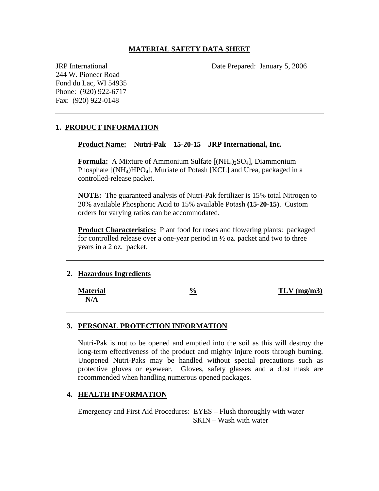### **MATERIAL SAFETY DATA SHEET**

JRP International Date Prepared: January 5, 2006

244 W. Pioneer Road Fond du Lac, WI 54935 Phone: (920) 922-6717 Fax: (920) 922-0148

## **1. PRODUCT INFORMATION**

**Product Name: Nutri-Pak 15-20-15 JRP International, Inc.** 

**Formula:** A Mixture of Ammonium Sulfate [(NH<sub>4</sub>)<sub>2</sub>SO<sub>4</sub>], Diammonium Phosphate  $[(NH_4)HPO_4]$ , Muriate of Potash  $[KCL]$  and Urea, packaged in a controlled-release packet.

**NOTE:** The guaranteed analysis of Nutri-Pak fertilizer is 15% total Nitrogen to 20% available Phosphoric Acid to 15% available Potash **(15-20-15)**. Custom orders for varying ratios can be accommodated.

**Product Characteristics:** Plant food for roses and flowering plants: packaged for controlled release over a one-year period in  $\frac{1}{2}$  oz. packet and two to three years in a 2 oz. packet.

#### **2. Hazardous Ingredients**

| <b>Material</b> | $\frac{6}{9}$ | $TLV$ (mg/m3) |
|-----------------|---------------|---------------|
| N/A             |               |               |

#### **3. PERSONAL PROTECTION INFORMATION**

Nutri-Pak is not to be opened and emptied into the soil as this will destroy the long-term effectiveness of the product and mighty injure roots through burning. Unopened Nutri-Paks may be handled without special precautions such as protective gloves or eyewear. Gloves, safety glasses and a dust mask are recommended when handling numerous opened packages.

#### **4. HEALTH INFORMATION**

Emergency and First Aid Procedures: EYES – Flush thoroughly with water SKIN – Wash with water